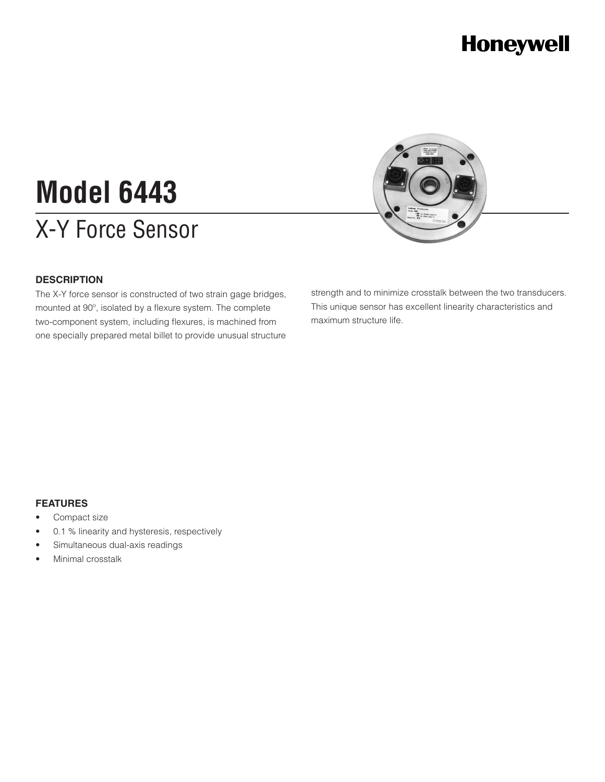## **Honeywell**

# X-Y Force Sensor **Model 6443**



#### **DESCRIPTION**

The X-Y force sensor is constructed of two strain gage bridges, mounted at 90º, isolated by a flexure system. The complete two-component system, including flexures, is machined from one specially prepared metal billet to provide unusual structure strength and to minimize crosstalk between the two transducers. This unique sensor has excellent linearity characteristics and maximum structure life.

#### **FEATURES**

- Compact size
- 0.1 % linearity and hysteresis, respectively
- Simultaneous dual-axis readings
- Minimal crosstalk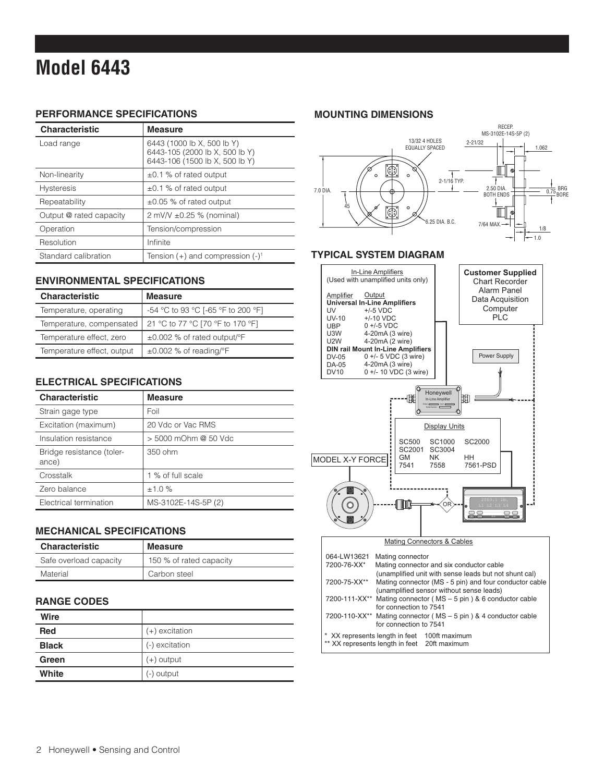### **Model 6443**

#### **PERFORMANCE SPECIFICATIONS**

| <b>Characteristic</b>   | <b>Measure</b>                                                                                 |
|-------------------------|------------------------------------------------------------------------------------------------|
| Load range              | 6443 (1000 lb X, 500 lb Y)<br>6443-105 (2000 lb X, 500 lb Y)<br>6443-106 (1500 lb X, 500 lb Y) |
| Non-linearity           | $\pm 0.1$ % of rated output                                                                    |
| <b>Hysteresis</b>       | $\pm 0.1$ % of rated output                                                                    |
| Repeatability           | $\pm 0.05$ % of rated output                                                                   |
| Output @ rated capacity | $2 \text{ mV/V} \pm 0.25 \%$ (nominal)                                                         |
| Operation               | Tension/compression                                                                            |
| Resolution              | Infinite                                                                                       |
| Standard calibration    | Tension $(+)$ and compression $(-)^1$                                                          |

#### **ENVIRONMENTAL SPECIFICATIONS**

| <b>Characteristic</b>      | <b>Measure</b>                     |
|----------------------------|------------------------------------|
| Temperature, operating     | -54 °C to 93 °C [-65 °F to 200 °F] |
| Temperature, compensated   | 21 °C to 77 °C [70 °F to 170 °F]   |
| Temperature effect, zero   | ±0.002 % of rated output/°F        |
| Temperature effect, output | $\pm 0.002$ % of reading/°F        |

#### **ELECTRICAL SPECIFICATIONS**

| <b>Characteristic</b>              | <b>Measure</b>       |
|------------------------------------|----------------------|
| Strain gage type                   | Foil                 |
| Excitation (maximum)               | 20 Vdc or Vac RMS    |
| Insulation resistance              | > 5000 mOhm @ 50 Vdc |
| Bridge resistance (toler-<br>ance) | 350 ohm              |
| Crosstalk                          | 1 % of full scale    |
| Zero balance                       | ±1.0%                |
| Electrical termination             | MS-3102E-14S-5P (2)  |

#### **MECHANICAL SPECIFICATIONS**

| <b>Characteristic</b>  | <b>Measure</b>          |
|------------------------|-------------------------|
| Safe overload capacity | 150 % of rated capacity |
| Material               | Carbon steel            |

#### **RANGE CODES**

| Wire         |                  |
|--------------|------------------|
| <b>Red</b>   | $(+)$ excitation |
| <b>Black</b> | (-) excitation   |
| Green        | $(+)$ output     |
| White        | (-) output       |

#### **MOUNTING DIMENSIONS**



#### **TYPICAL SYSTEM DIAGRAM**



#### Mating Connectors & Cables

| 064-LW13621<br>7200-76-XX* | Mating connector                                                               | Mating connector and six conductor cable<br>(unamplified unit with sense leads but not shunt cal)  |
|----------------------------|--------------------------------------------------------------------------------|----------------------------------------------------------------------------------------------------|
| 7200-75-XX**               |                                                                                | Mating connector (MS - 5 pin) and four conductor cable<br>(unamplified sensor without sense leads) |
|                            | for connection to 7541                                                         | 7200-111-XX** Mating connector (MS – 5 pin) & 6 conductor cable                                    |
|                            | for connection to 7541                                                         | 7200-110-XX <sup>**</sup> Mating connector (MS - 5 pin) & 4 conductor cable                        |
|                            | * XX represents length in feet<br>** XX represents length in feet 20ft maximum | 100ft maximum                                                                                      |